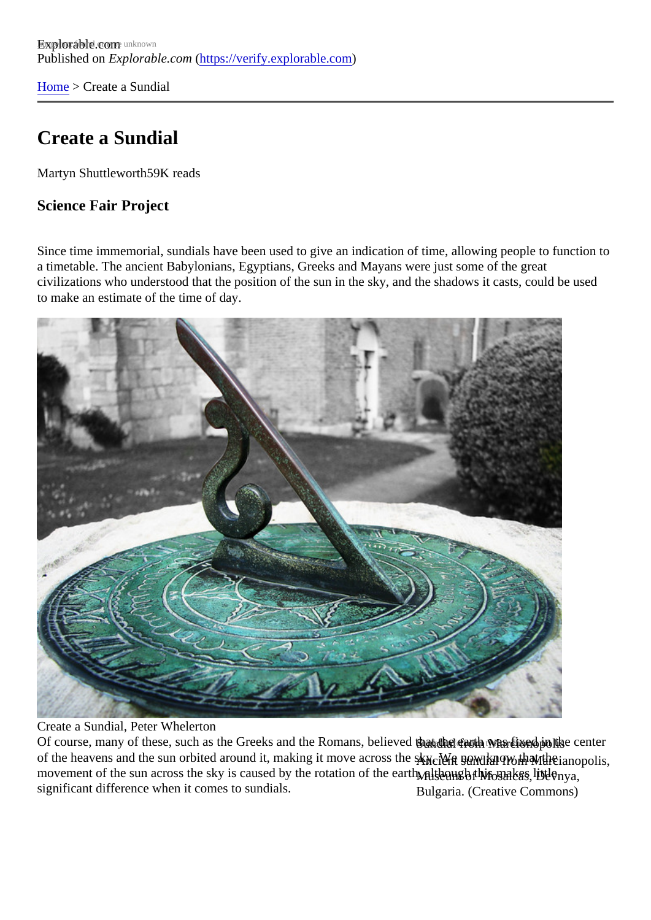[Home](https://verify.explorable.com/) > Create a Sundial

#### Create a Sundial

Martyn Shuttlewort<sup>59K</sup> reads

Science Fair Project

Since time immemorial, sundials have been used to give an indication of time, allowing people to function a timetable. The ancient Babylonians, Egyptians, Greeks and Mayans were just some of the great civilizations who understood that the position of the sun in the sky, and the shadows it casts, could be use to make an estimate of the time of day.

Create a Sundial, Peter Whelerton

Of course, many of these, such as the Greeks and the Romans, believed than the earth was fixed in the ce Ancient sundial from Marcianopolis, of the heavens and the sun orbited around it, making it move across the sky. We now know that the movement of the sun across the sky is caused by the rotation of tha gatth although this makes ittle Bulgaria. (Creative Commons) significant difference when it comes to sundials.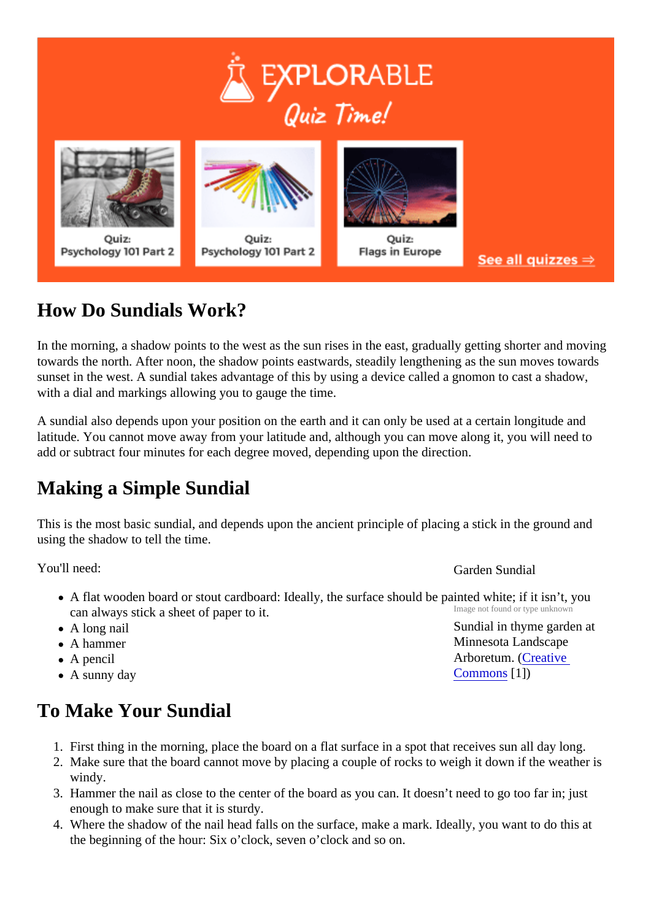# How Do Sundials Work?

In the morning, a shadow points to the west as the sun rises in the east, gradually getting shorter and moving towards the north. After noon, the shadow points eastwards, steadily lengthening as the sun moves toward sunset in the west. A sundial takes advantage of this by using a device called a gnomon to cast a shadow with a dial and markings allowing you to gauge the time.

A sundial also depends upon your position on the earth and it can only be used at a certain longitude and latitude. You cannot move away from your latitude and, although you can move along it, you will need to add or subtract four minutes for each degree moved, depending upon the direction.

## Making a Simple Sundial

This is the most basic sundial, and depends upon the ancient principle of placing a stick in the ground and using the shadow to tell the time.

You'll need:

Garden Sundial

[Commons](http://commons.wikimedia.org/wiki/User:SEWilco)<sup>[1]</sup>)

Minnesota Landscape Arboretum. Creative

- Image not found or type unknown Sundial in thyme garden at A flat wooden board or stout cardboard: Ideally, the surface should be painted white; if it isn't, you can always stick a sheet of paper to it.
- A long nail
- A hammer
- A pencil
- A sunny day

To Make Your Sundial

- 1. First thing in the morning, place the board on a flat surface in a spot that receives sun all day long.
- 2. Make sure that the board cannot move by placing a couple of rocks to weigh it down if the weather is windy.
- 3. Hammer the nail as close to the center of the board as you can. It doesn't need to go too far in; just enough to make sure that it is sturdy.
- 4. Where the shadow of the nail head falls on the surface, make a mark. Ideally, you want to do this at the beginning of the hour: Six o'clock, seven o'clock and so on.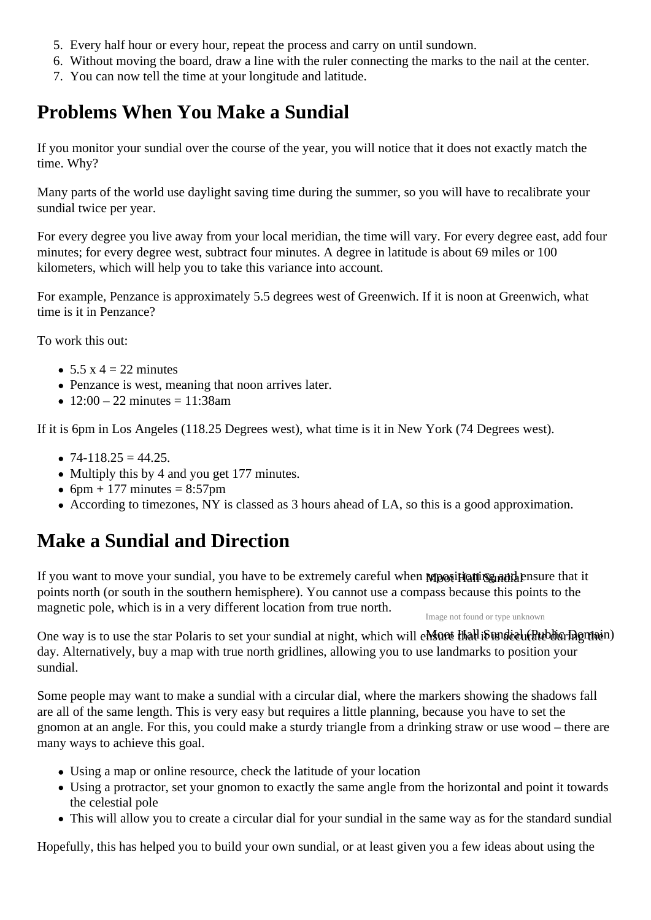- 5. Every half hour or every hour, repeat the process and carry on until sundown.
- 6. Without moving the board, draw a line with the ruler connecting the marks to the nail at the center.
- 7. You can now tell the time at your longitude and latitude.

## **Problems When You Make a Sundial**

If you monitor your sundial over the course of the year, you will notice that it does not exactly match the time. Why?

Many parts of the world use daylight saving time during the summer, so you will have to recalibrate your sundial twice per year.

For every degree you live away from your local meridian, the time will vary. For every degree east, add four minutes; for every degree west, subtract four minutes. A degree in latitude is about 69 miles or 100 kilometers, which will help you to take this variance into account.

For example, Penzance is approximately 5.5 degrees west of Greenwich. If it is noon at Greenwich, what time is it in Penzance?

To work this out:

- $\bullet$  5.5 x 4 = 22 minutes
- Penzance is west, meaning that noon arrives later.
- $12:00 22$  minutes = 11:38am

If it is 6pm in Los Angeles (118.25 Degrees west), what time is it in New York (74 Degrees west).

- $\bullet$  74-118.25 = 44.25.
- Multiply this by 4 and you get 177 minutes.
- $6pm + 177$  minutes = 8:57pm
- According to timezones, NY is classed as 3 hours ahead of LA, so this is a good approximation.

## **Make a Sundial and Direction**

If you want to move your sundial, you have to be extremely careful when **Mpositioning and h**ensure that it points north (or south in the southern hemisphere). You cannot use a compass because this points to the magnetic pole, which is in a very different location from true north.

Image not found or type unknown

One way is to use the star Polaris to set your sundial at night, which will emsate that it is under the behicring main) day. Alternatively, buy a map with true north gridlines, allowing you to use landmarks to position your sundial.

Some people may want to make a sundial with a circular dial, where the markers showing the shadows fall are all of the same length. This is very easy but requires a little planning, because you have to set the gnomon at an angle. For this, you could make a sturdy triangle from a drinking straw or use wood – there are many ways to achieve this goal.

- Using a map or online resource, check the latitude of your location
- Using a protractor, set your gnomon to exactly the same angle from the horizontal and point it towards the celestial pole
- This will allow you to create a circular dial for your sundial in the same way as for the standard sundial

Hopefully, this has helped you to build your own sundial, or at least given you a few ideas about using the